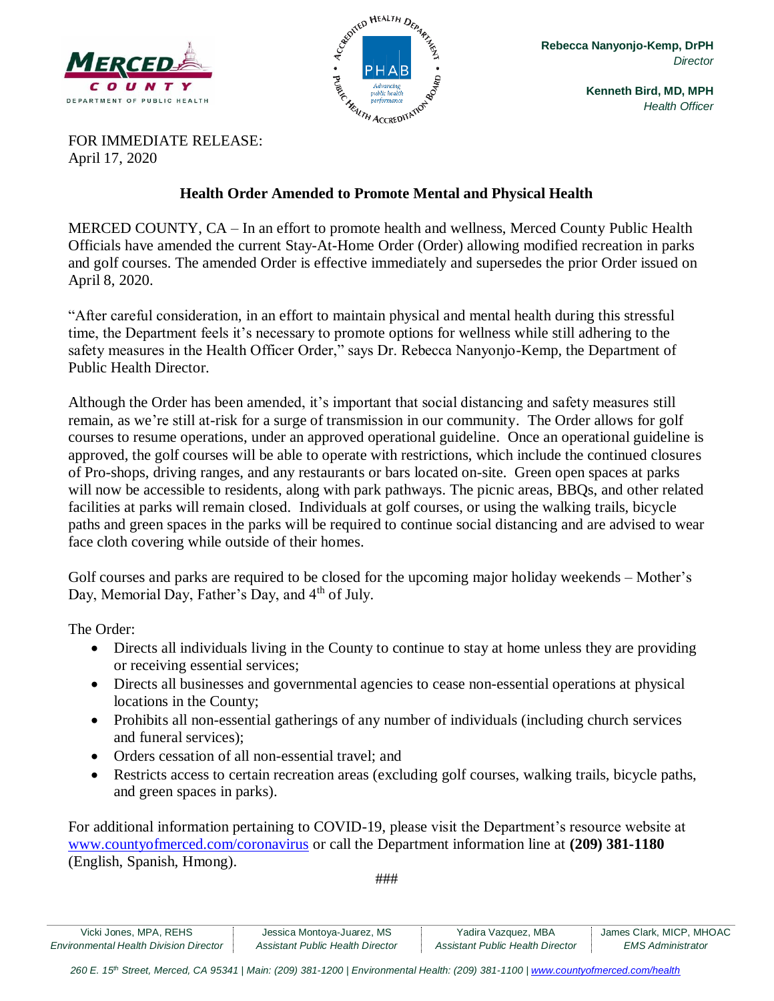



**Kenneth Bird, MD, MPH** *Health Officer*

FOR IMMEDIATE RELEASE: April 17, 2020

### **Health Order Amended to Promote Mental and Physical Health**

MERCED COUNTY, CA – In an effort to promote health and wellness, Merced County Public Health Officials have amended the current Stay-At-Home Order (Order) allowing modified recreation in parks and golf courses. The amended Order is effective immediately and supersedes the prior Order issued on April 8, 2020.

"After careful consideration, in an effort to maintain physical and mental health during this stressful time, the Department feels it's necessary to promote options for wellness while still adhering to the safety measures in the Health Officer Order," says Dr. Rebecca Nanyonjo-Kemp, the Department of Public Health Director.

Although the Order has been amended, it's important that social distancing and safety measures still remain, as we're still at-risk for a surge of transmission in our community. The Order allows for golf courses to resume operations, under an approved operational guideline. Once an operational guideline is approved, the golf courses will be able to operate with restrictions, which include the continued closures of Pro-shops, driving ranges, and any restaurants or bars located on-site. Green open spaces at parks will now be accessible to residents, along with park pathways. The picnic areas, BBQs, and other related facilities at parks will remain closed. Individuals at golf courses, or using the walking trails, bicycle paths and green spaces in the parks will be required to continue social distancing and are advised to wear face cloth covering while outside of their homes.

Golf courses and parks are required to be closed for the upcoming major holiday weekends – Mother's Day, Memorial Day, Father's Day, and 4<sup>th</sup> of July.

The Order:

- Directs all individuals living in the County to continue to stay at home unless they are providing or receiving essential services;
- Directs all businesses and governmental agencies to cease non-essential operations at physical locations in the County;
- Prohibits all non-essential gatherings of any number of individuals (including church services and funeral services);
- Orders cessation of all non-essential travel; and
- Restricts access to certain recreation areas (excluding golf courses, walking trails, bicycle paths, and green spaces in parks).

For additional information pertaining to COVID-19, please visit the Department's resource website at [www.countyofmerced.com/coronavirus](http://www.countyofmerced.com/coronavirus) or call the Department information line at **(209) 381-1180** (English, Spanish, Hmong).

###

| Vicki Jones, MPA, REHS                        | Jessica Montoya-Juarez, MS       | Yadira Vazquez, MBA              | James Clark, MICP, MHOAC |
|-----------------------------------------------|----------------------------------|----------------------------------|--------------------------|
| <b>Environmental Health Division Director</b> | Assistant Public Health Director | Assistant Public Health Director | EMS Administrator        |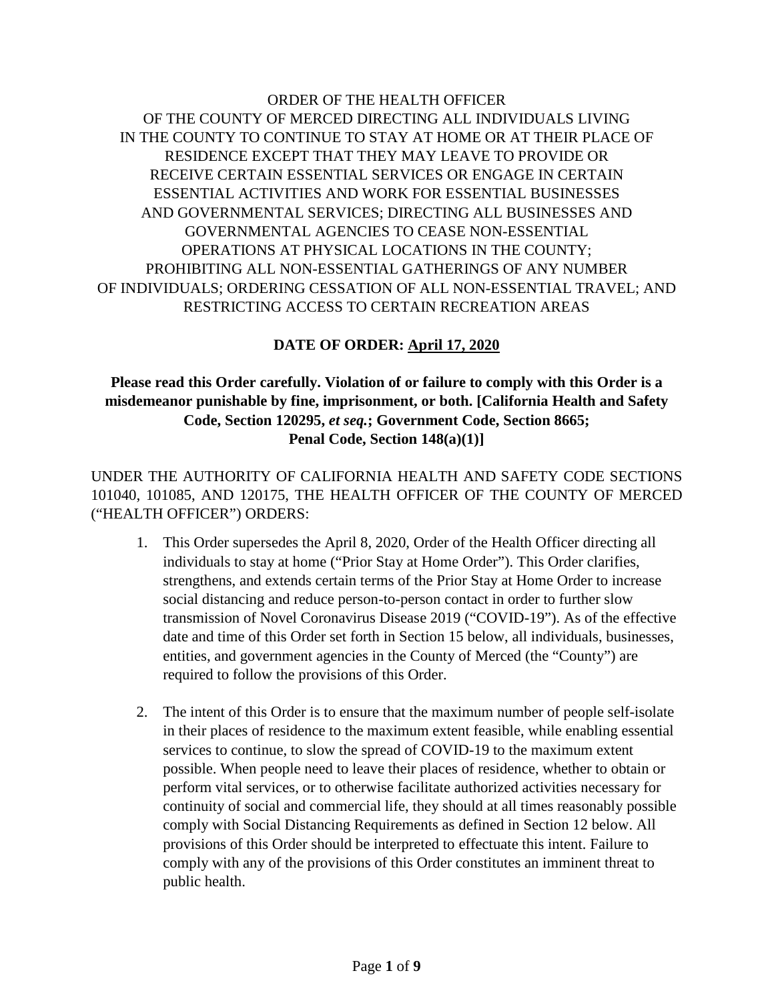# ORDER OF THE HEALTH OFFICER OF THE COUNTY OF MERCED DIRECTING ALL INDIVIDUALS LIVING IN THE COUNTY TO CONTINUE TO STAY AT HOME OR AT THEIR PLACE OF RESIDENCE EXCEPT THAT THEY MAY LEAVE TO PROVIDE OR RECEIVE CERTAIN ESSENTIAL SERVICES OR ENGAGE IN CERTAIN ESSENTIAL ACTIVITIES AND WORK FOR ESSENTIAL BUSINESSES AND GOVERNMENTAL SERVICES; DIRECTING ALL BUSINESSES AND GOVERNMENTAL AGENCIES TO CEASE NON-ESSENTIAL OPERATIONS AT PHYSICAL LOCATIONS IN THE COUNTY; PROHIBITING ALL NON-ESSENTIAL GATHERINGS OF ANY NUMBER OF INDIVIDUALS; ORDERING CESSATION OF ALL NON-ESSENTIAL TRAVEL; AND RESTRICTING ACCESS TO CERTAIN RECREATION AREAS

# **DATE OF ORDER: April 17, 2020**

## **Please read this Order carefully. Violation of or failure to comply with this Order is a misdemeanor punishable by fine, imprisonment, or both. [California Health and Safety Code, Section 120295,** *et seq.***; Government Code, Section 8665; Penal Code, Section 148(a)(1)]**

UNDER THE AUTHORITY OF CALIFORNIA HEALTH AND SAFETY CODE SECTIONS 101040, 101085, AND 120175, THE HEALTH OFFICER OF THE COUNTY OF MERCED ("HEALTH OFFICER") ORDERS:

- 1. This Order supersedes the April 8, 2020, Order of the Health Officer directing all individuals to stay at home ("Prior Stay at Home Order"). This Order clarifies, strengthens, and extends certain terms of the Prior Stay at Home Order to increase social distancing and reduce person-to-person contact in order to further slow transmission of Novel Coronavirus Disease 2019 ("COVID-19"). As of the effective date and time of this Order set forth in Section 15 below, all individuals, businesses, entities, and government agencies in the County of Merced (the "County") are required to follow the provisions of this Order.
- 2. The intent of this Order is to ensure that the maximum number of people self-isolate in their places of residence to the maximum extent feasible, while enabling essential services to continue, to slow the spread of COVID-19 to the maximum extent possible. When people need to leave their places of residence, whether to obtain or perform vital services, or to otherwise facilitate authorized activities necessary for continuity of social and commercial life, they should at all times reasonably possible comply with Social Distancing Requirements as defined in Section 12 below. All provisions of this Order should be interpreted to effectuate this intent. Failure to comply with any of the provisions of this Order constitutes an imminent threat to public health.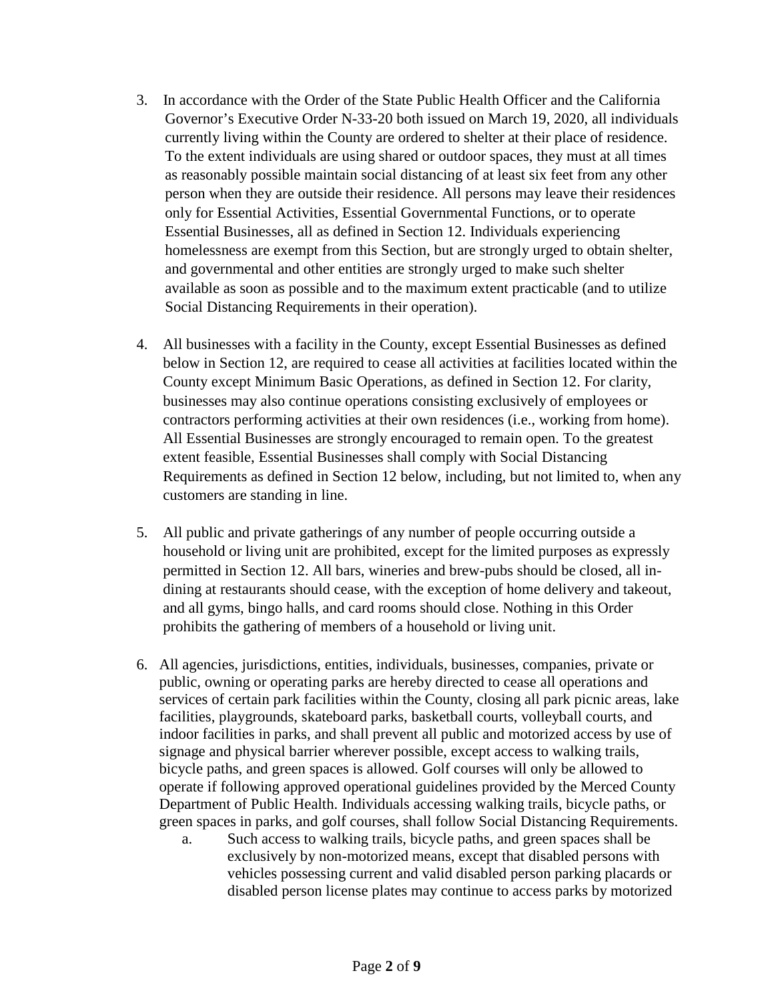- 3. In accordance with the Order of the State Public Health Officer and the California Governor's Executive Order N-33-20 both issued on March 19, 2020, all individuals currently living within the County are ordered to shelter at their place of residence. To the extent individuals are using shared or outdoor spaces, they must at all times as reasonably possible maintain social distancing of at least six feet from any other person when they are outside their residence. All persons may leave their residences only for Essential Activities, Essential Governmental Functions, or to operate Essential Businesses, all as defined in Section 12. Individuals experiencing homelessness are exempt from this Section, but are strongly urged to obtain shelter, and governmental and other entities are strongly urged to make such shelter available as soon as possible and to the maximum extent practicable (and to utilize Social Distancing Requirements in their operation).
- 4. All businesses with a facility in the County, except Essential Businesses as defined below in Section 12, are required to cease all activities at facilities located within the County except Minimum Basic Operations, as defined in Section 12. For clarity, businesses may also continue operations consisting exclusively of employees or contractors performing activities at their own residences (i.e., working from home). All Essential Businesses are strongly encouraged to remain open. To the greatest extent feasible, Essential Businesses shall comply with Social Distancing Requirements as defined in Section 12 below, including, but not limited to, when any customers are standing in line.
- 5. All public and private gatherings of any number of people occurring outside a household or living unit are prohibited, except for the limited purposes as expressly permitted in Section 12. All bars, wineries and brew-pubs should be closed, all indining at restaurants should cease, with the exception of home delivery and takeout, and all gyms, bingo halls, and card rooms should close. Nothing in this Order prohibits the gathering of members of a household or living unit.
- 6. All agencies, jurisdictions, entities, individuals, businesses, companies, private or public, owning or operating parks are hereby directed to cease all operations and services of certain park facilities within the County, closing all park picnic areas, lake facilities, playgrounds, skateboard parks, basketball courts, volleyball courts, and indoor facilities in parks, and shall prevent all public and motorized access by use of signage and physical barrier wherever possible, except access to walking trails, bicycle paths, and green spaces is allowed. Golf courses will only be allowed to operate if following approved operational guidelines provided by the Merced County Department of Public Health. Individuals accessing walking trails, bicycle paths, or green spaces in parks, and golf courses, shall follow Social Distancing Requirements.
	- a. Such access to walking trails, bicycle paths, and green spaces shall be exclusively by non-motorized means, except that disabled persons with vehicles possessing current and valid disabled person parking placards or disabled person license plates may continue to access parks by motorized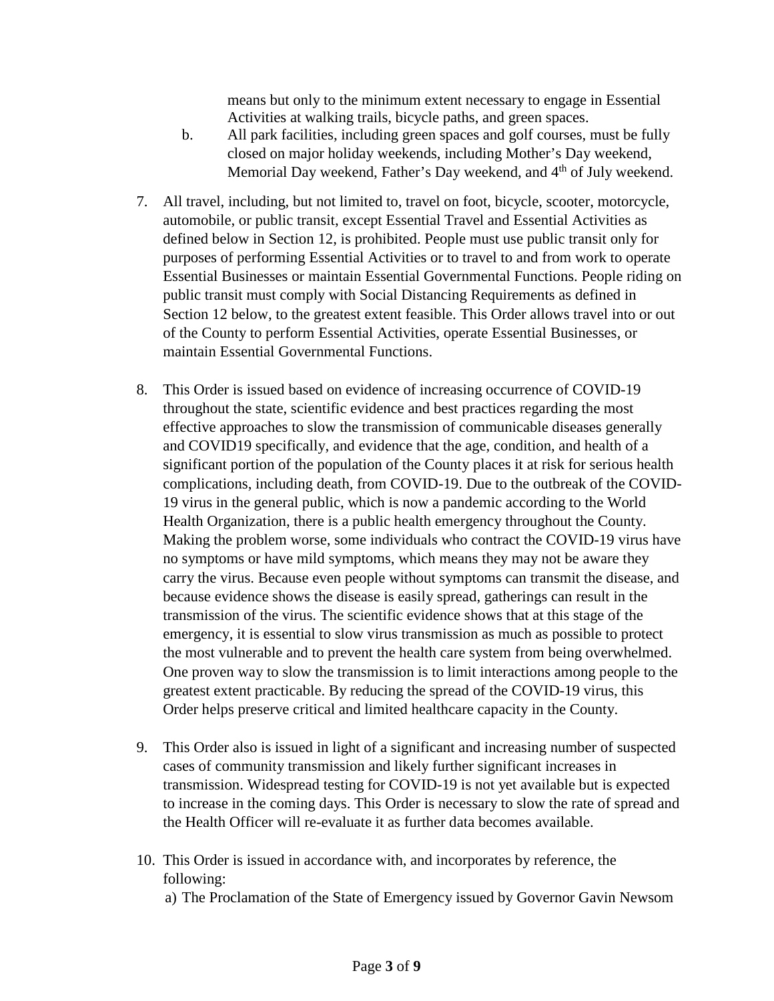means but only to the minimum extent necessary to engage in Essential Activities at walking trails, bicycle paths, and green spaces.

- b. All park facilities, including green spaces and golf courses, must be fully closed on major holiday weekends, including Mother's Day weekend, Memorial Day weekend, Father's Day weekend, and 4<sup>th</sup> of July weekend.
- 7. All travel, including, but not limited to, travel on foot, bicycle, scooter, motorcycle, automobile, or public transit, except Essential Travel and Essential Activities as defined below in Section 12, is prohibited. People must use public transit only for purposes of performing Essential Activities or to travel to and from work to operate Essential Businesses or maintain Essential Governmental Functions. People riding on public transit must comply with Social Distancing Requirements as defined in Section 12 below, to the greatest extent feasible. This Order allows travel into or out of the County to perform Essential Activities, operate Essential Businesses, or maintain Essential Governmental Functions.
- 8. This Order is issued based on evidence of increasing occurrence of COVID-19 throughout the state, scientific evidence and best practices regarding the most effective approaches to slow the transmission of communicable diseases generally and COVID19 specifically, and evidence that the age, condition, and health of a significant portion of the population of the County places it at risk for serious health complications, including death, from COVID-19. Due to the outbreak of the COVID-19 virus in the general public, which is now a pandemic according to the World Health Organization, there is a public health emergency throughout the County. Making the problem worse, some individuals who contract the COVID-19 virus have no symptoms or have mild symptoms, which means they may not be aware they carry the virus. Because even people without symptoms can transmit the disease, and because evidence shows the disease is easily spread, gatherings can result in the transmission of the virus. The scientific evidence shows that at this stage of the emergency, it is essential to slow virus transmission as much as possible to protect the most vulnerable and to prevent the health care system from being overwhelmed. One proven way to slow the transmission is to limit interactions among people to the greatest extent practicable. By reducing the spread of the COVID-19 virus, this Order helps preserve critical and limited healthcare capacity in the County.
- 9. This Order also is issued in light of a significant and increasing number of suspected cases of community transmission and likely further significant increases in transmission. Widespread testing for COVID-19 is not yet available but is expected to increase in the coming days. This Order is necessary to slow the rate of spread and the Health Officer will re-evaluate it as further data becomes available.
- 10. This Order is issued in accordance with, and incorporates by reference, the following:
	- a) The Proclamation of the State of Emergency issued by Governor Gavin Newsom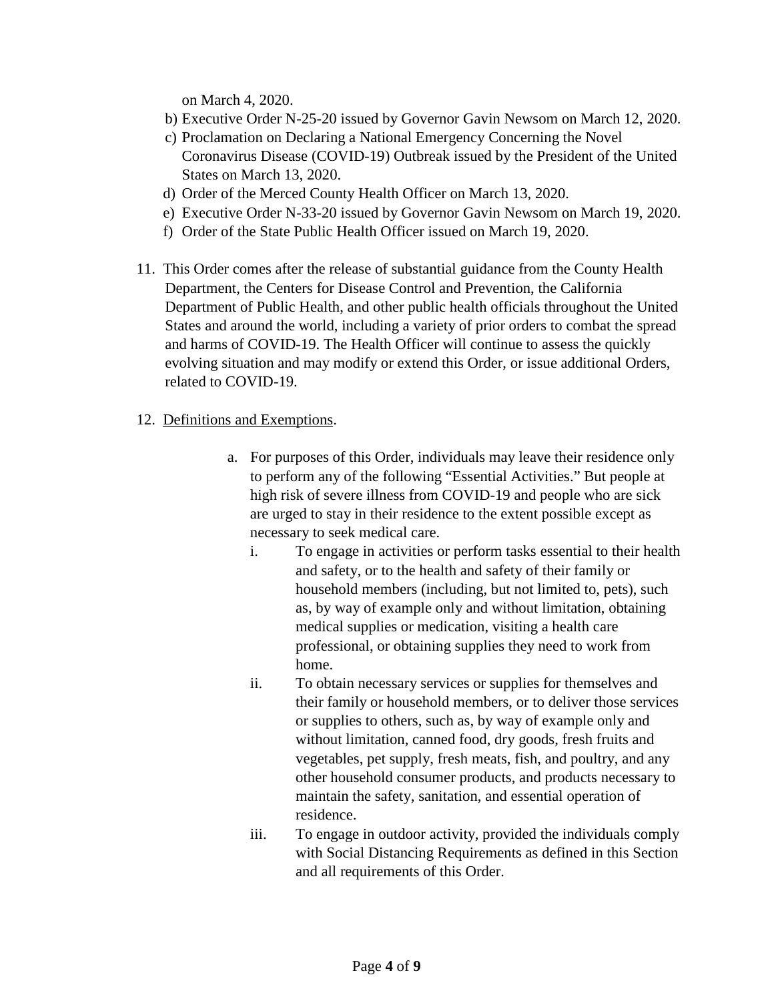on March 4, 2020.

- b) Executive Order N-25-20 issued by Governor Gavin Newsom on March 12, 2020.
- c) Proclamation on Declaring a National Emergency Concerning the Novel Coronavirus Disease (COVID-19) Outbreak issued by the President of the United States on March 13, 2020.
- d) Order of the Merced County Health Officer on March 13, 2020.
- e) Executive Order N-33-20 issued by Governor Gavin Newsom on March 19, 2020.
- f) Order of the State Public Health Officer issued on March 19, 2020.
- 11. This Order comes after the release of substantial guidance from the County Health Department, the Centers for Disease Control and Prevention, the California Department of Public Health, and other public health officials throughout the United States and around the world, including a variety of prior orders to combat the spread and harms of COVID-19. The Health Officer will continue to assess the quickly evolving situation and may modify or extend this Order, or issue additional Orders, related to COVID-19.
- 12. Definitions and Exemptions.
	- a. For purposes of this Order, individuals may leave their residence only to perform any of the following "Essential Activities." But people at high risk of severe illness from COVID-19 and people who are sick are urged to stay in their residence to the extent possible except as necessary to seek medical care.
		- i. To engage in activities or perform tasks essential to their health and safety, or to the health and safety of their family or household members (including, but not limited to, pets), such as, by way of example only and without limitation, obtaining medical supplies or medication, visiting a health care professional, or obtaining supplies they need to work from home.
		- ii. To obtain necessary services or supplies for themselves and their family or household members, or to deliver those services or supplies to others, such as, by way of example only and without limitation, canned food, dry goods, fresh fruits and vegetables, pet supply, fresh meats, fish, and poultry, and any other household consumer products, and products necessary to maintain the safety, sanitation, and essential operation of residence.
		- iii. To engage in outdoor activity, provided the individuals comply with Social Distancing Requirements as defined in this Section and all requirements of this Order.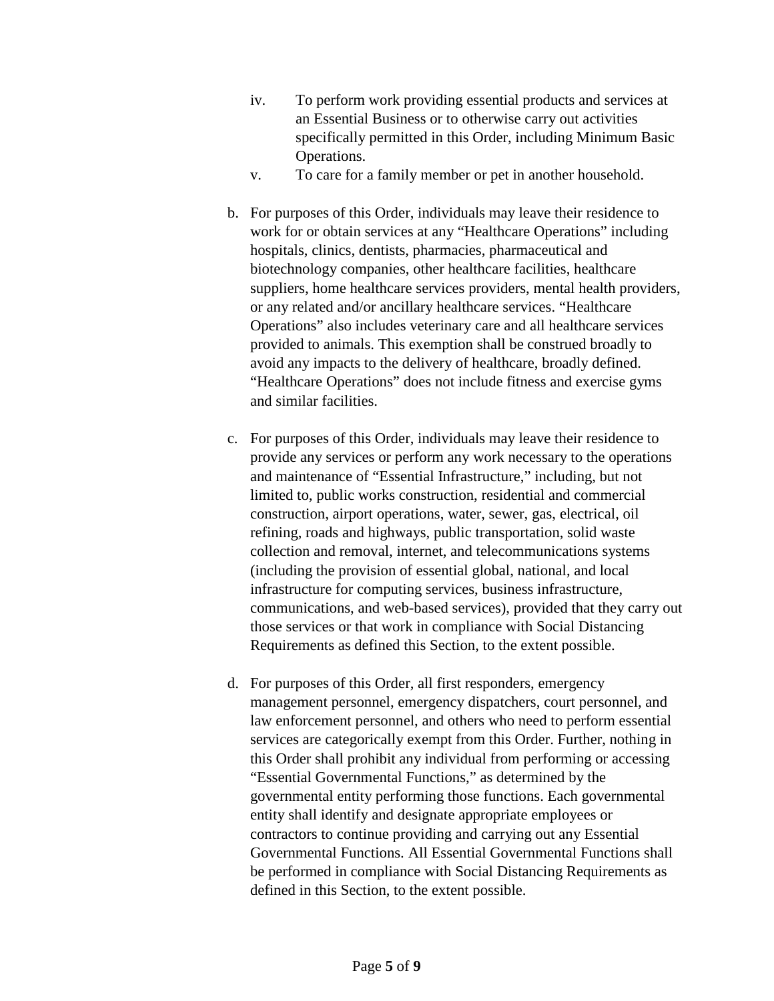- iv. To perform work providing essential products and services at an Essential Business or to otherwise carry out activities specifically permitted in this Order, including Minimum Basic Operations.
- v. To care for a family member or pet in another household.
- b. For purposes of this Order, individuals may leave their residence to work for or obtain services at any "Healthcare Operations" including hospitals, clinics, dentists, pharmacies, pharmaceutical and biotechnology companies, other healthcare facilities, healthcare suppliers, home healthcare services providers, mental health providers, or any related and/or ancillary healthcare services. "Healthcare Operations" also includes veterinary care and all healthcare services provided to animals. This exemption shall be construed broadly to avoid any impacts to the delivery of healthcare, broadly defined. "Healthcare Operations" does not include fitness and exercise gyms and similar facilities.
- c. For purposes of this Order, individuals may leave their residence to provide any services or perform any work necessary to the operations and maintenance of "Essential Infrastructure," including, but not limited to, public works construction, residential and commercial construction, airport operations, water, sewer, gas, electrical, oil refining, roads and highways, public transportation, solid waste collection and removal, internet, and telecommunications systems (including the provision of essential global, national, and local infrastructure for computing services, business infrastructure, communications, and web-based services), provided that they carry out those services or that work in compliance with Social Distancing Requirements as defined this Section, to the extent possible.
- d. For purposes of this Order, all first responders, emergency management personnel, emergency dispatchers, court personnel, and law enforcement personnel, and others who need to perform essential services are categorically exempt from this Order. Further, nothing in this Order shall prohibit any individual from performing or accessing "Essential Governmental Functions," as determined by the governmental entity performing those functions. Each governmental entity shall identify and designate appropriate employees or contractors to continue providing and carrying out any Essential Governmental Functions. All Essential Governmental Functions shall be performed in compliance with Social Distancing Requirements as defined in this Section, to the extent possible.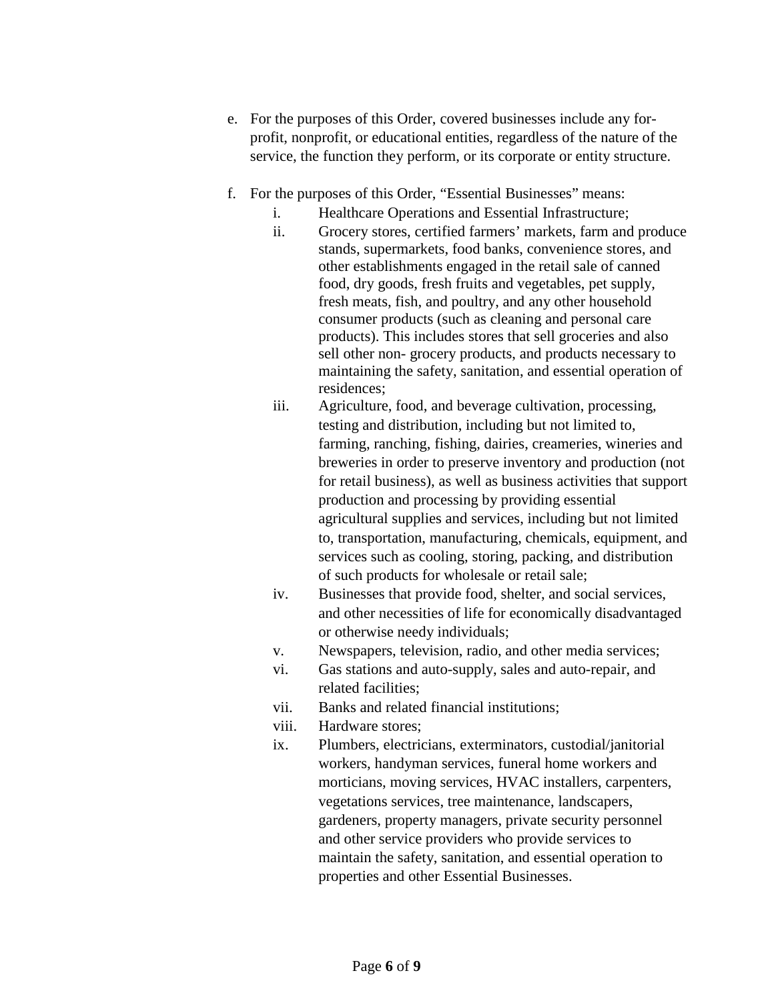- e. For the purposes of this Order, covered businesses include any forprofit, nonprofit, or educational entities, regardless of the nature of the service, the function they perform, or its corporate or entity structure.
- f. For the purposes of this Order, "Essential Businesses" means:
	- i. Healthcare Operations and Essential Infrastructure;
	- ii. Grocery stores, certified farmers' markets, farm and produce stands, supermarkets, food banks, convenience stores, and other establishments engaged in the retail sale of canned food, dry goods, fresh fruits and vegetables, pet supply, fresh meats, fish, and poultry, and any other household consumer products (such as cleaning and personal care products). This includes stores that sell groceries and also sell other non- grocery products, and products necessary to maintaining the safety, sanitation, and essential operation of residences;
	- iii. Agriculture, food, and beverage cultivation, processing, testing and distribution, including but not limited to, farming, ranching, fishing, dairies, creameries, wineries and breweries in order to preserve inventory and production (not for retail business), as well as business activities that support production and processing by providing essential agricultural supplies and services, including but not limited to, transportation, manufacturing, chemicals, equipment, and services such as cooling, storing, packing, and distribution of such products for wholesale or retail sale;
	- iv. Businesses that provide food, shelter, and social services, and other necessities of life for economically disadvantaged or otherwise needy individuals;
	- v. Newspapers, television, radio, and other media services;
	- vi. Gas stations and auto-supply, sales and auto-repair, and related facilities;
	- vii. Banks and related financial institutions;
	- viii. Hardware stores;
	- ix. Plumbers, electricians, exterminators, custodial/janitorial workers, handyman services, funeral home workers and morticians, moving services, HVAC installers, carpenters, vegetations services, tree maintenance, landscapers, gardeners, property managers, private security personnel and other service providers who provide services to maintain the safety, sanitation, and essential operation to properties and other Essential Businesses.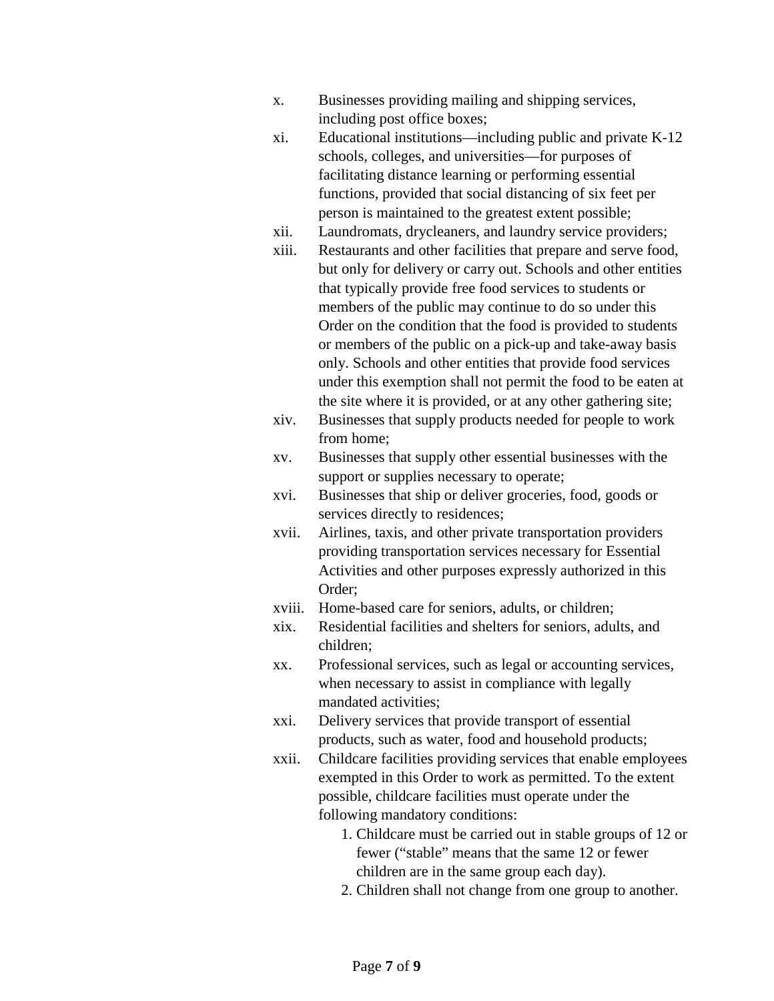- x. Businesses providing mailing and shipping services, including post office boxes;
- xi. Educational institutions—including public and private K-12 schools, colleges, and universities—for purposes of facilitating distance learning or performing essential functions, provided that social distancing of six feet per person is maintained to the greatest extent possible;
- xii. Laundromats, drycleaners, and laundry service providers;
- xiii. Restaurants and other facilities that prepare and serve food, but only for delivery or carry out. Schools and other entities that typically provide free food services to students or members of the public may continue to do so under this Order on the condition that the food is provided to students or members of the public on a pick-up and take-away basis only. Schools and other entities that provide food services under this exemption shall not permit the food to be eaten at the site where it is provided, or at any other gathering site;
- xiv. Businesses that supply products needed for people to work from home;
- xv. Businesses that supply other essential businesses with the support or supplies necessary to operate;
- xvi. Businesses that ship or deliver groceries, food, goods or services directly to residences;
- xvii. Airlines, taxis, and other private transportation providers providing transportation services necessary for Essential Activities and other purposes expressly authorized in this Order;
- xviii. Home-based care for seniors, adults, or children;
- xix. Residential facilities and shelters for seniors, adults, and children;
- xx. Professional services, such as legal or accounting services, when necessary to assist in compliance with legally mandated activities;
- xxi. Delivery services that provide transport of essential products, such as water, food and household products;
- xxii. Childcare facilities providing services that enable employees exempted in this Order to work as permitted. To the extent possible, childcare facilities must operate under the following mandatory conditions:
	- 1. Childcare must be carried out in stable groups of 12 or fewer ("stable" means that the same 12 or fewer children are in the same group each day).
	- 2. Children shall not change from one group to another.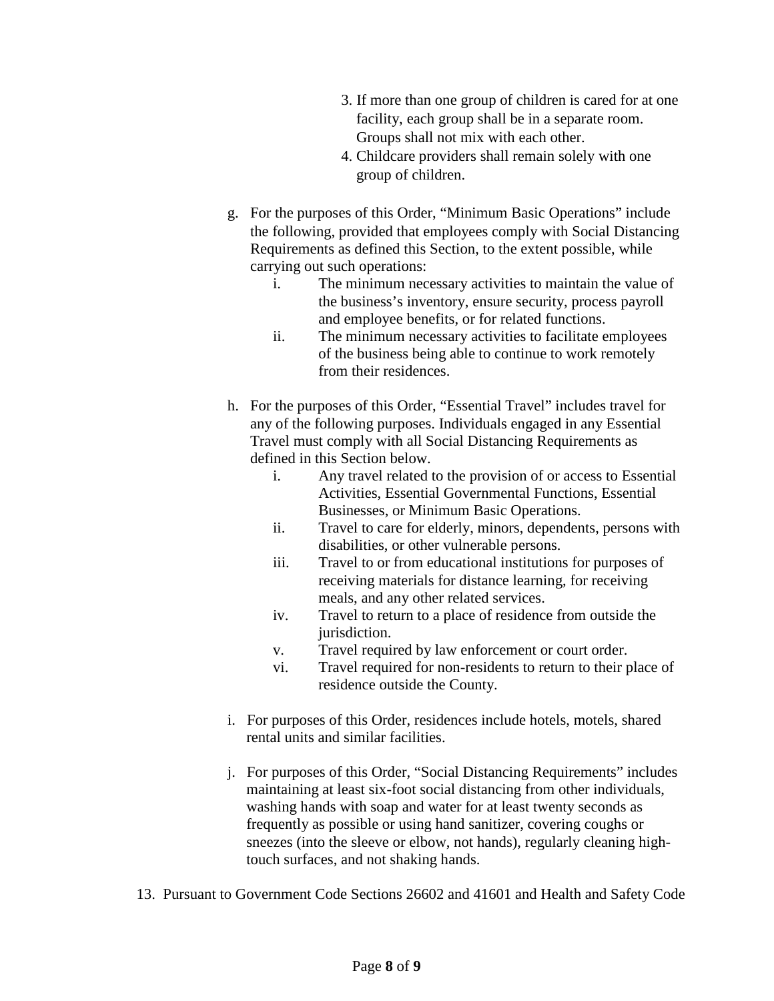- 3. If more than one group of children is cared for at one facility, each group shall be in a separate room. Groups shall not mix with each other.
- 4. Childcare providers shall remain solely with one group of children.
- g. For the purposes of this Order, "Minimum Basic Operations" include the following, provided that employees comply with Social Distancing Requirements as defined this Section, to the extent possible, while carrying out such operations:
	- i. The minimum necessary activities to maintain the value of the business's inventory, ensure security, process payroll and employee benefits, or for related functions.
	- ii. The minimum necessary activities to facilitate employees of the business being able to continue to work remotely from their residences.
- h. For the purposes of this Order, "Essential Travel" includes travel for any of the following purposes. Individuals engaged in any Essential Travel must comply with all Social Distancing Requirements as defined in this Section below.
	- i. Any travel related to the provision of or access to Essential Activities, Essential Governmental Functions, Essential Businesses, or Minimum Basic Operations.
	- ii. Travel to care for elderly, minors, dependents, persons with disabilities, or other vulnerable persons.
	- iii. Travel to or from educational institutions for purposes of receiving materials for distance learning, for receiving meals, and any other related services.
	- iv. Travel to return to a place of residence from outside the jurisdiction.
	- v. Travel required by law enforcement or court order.
	- vi. Travel required for non-residents to return to their place of residence outside the County.
- i. For purposes of this Order, residences include hotels, motels, shared rental units and similar facilities.
- j. For purposes of this Order, "Social Distancing Requirements" includes maintaining at least six-foot social distancing from other individuals, washing hands with soap and water for at least twenty seconds as frequently as possible or using hand sanitizer, covering coughs or sneezes (into the sleeve or elbow, not hands), regularly cleaning hightouch surfaces, and not shaking hands.
- 13. Pursuant to Government Code Sections 26602 and 41601 and Health and Safety Code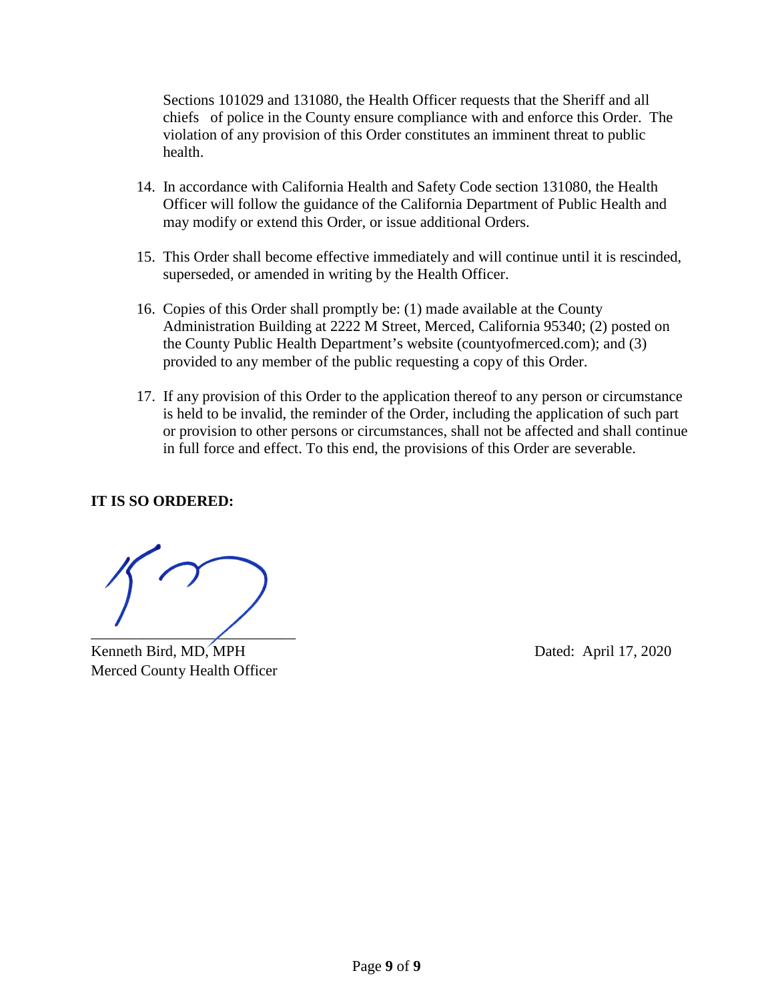Sections 101029 and 131080, the Health Officer requests that the Sheriff and all chiefs of police in the County ensure compliance with and enforce this Order. The violation of any provision of this Order constitutes an imminent threat to public health.

- 14. In accordance with California Health and Safety Code section 131080, the Health Officer will follow the guidance of the California Department of Public Health and may modify or extend this Order, or issue additional Orders.
- 15. This Order shall become effective immediately and will continue until it is rescinded, superseded, or amended in writing by the Health Officer.
- 16. Copies of this Order shall promptly be: (1) made available at the County Administration Building at 2222 M Street, Merced, California 95340; (2) posted on the County Public Health Department's website (countyofmerced.com); and (3) provided to any member of the public requesting a copy of this Order.
- 17. If any provision of this Order to the application thereof to any person or circumstance is held to be invalid, the reminder of the Order, including the application of such part or provision to other persons or circumstances, shall not be affected and shall continue in full force and effect. To this end, the provisions of this Order are severable.

#### **IT IS SO ORDERED:**

 $\overline{\phantom{a}}$ 

Kenneth Bird, MD, MPH Dated: April 17, 2020 Merced County Health Officer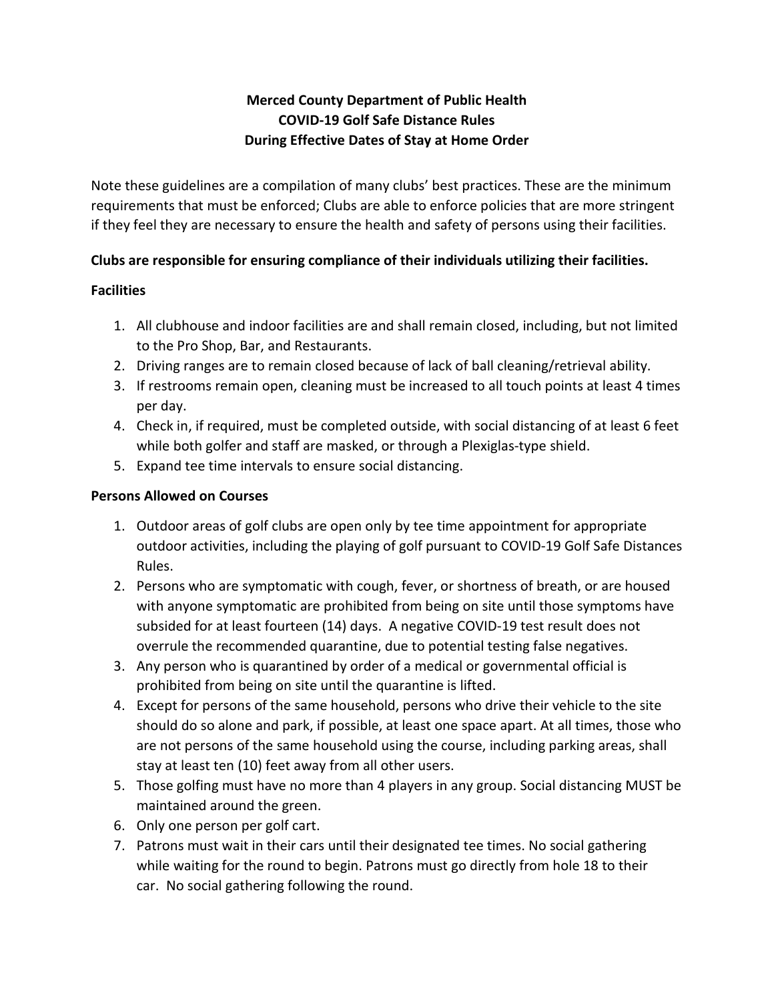# **Merced County Department of Public Health COVID-19 Golf Safe Distance Rules During Effective Dates of Stay at Home Order**

Note these guidelines are a compilation of many clubs' best practices. These are the minimum requirements that must be enforced; Clubs are able to enforce policies that are more stringent if they feel they are necessary to ensure the health and safety of persons using their facilities.

#### **Clubs are responsible for ensuring compliance of their individuals utilizing their facilities.**

### **Facilities**

- 1. All clubhouse and indoor facilities are and shall remain closed, including, but not limited to the Pro Shop, Bar, and Restaurants.
- 2. Driving ranges are to remain closed because of lack of ball cleaning/retrieval ability.
- 3. If restrooms remain open, cleaning must be increased to all touch points at least 4 times per day.
- 4. Check in, if required, must be completed outside, with social distancing of at least 6 feet while both golfer and staff are masked, or through a Plexiglas-type shield.
- 5. Expand tee time intervals to ensure social distancing.

### **Persons Allowed on Courses**

- 1. Outdoor areas of golf clubs are open only by tee time appointment for appropriate outdoor activities, including the playing of golf pursuant to COVID-19 Golf Safe Distances Rules.
- 2. Persons who are symptomatic with cough, fever, or shortness of breath, or are housed with anyone symptomatic are prohibited from being on site until those symptoms have subsided for at least fourteen (14) days. A negative COVID-19 test result does not overrule the recommended quarantine, due to potential testing false negatives.
- 3. Any person who is quarantined by order of a medical or governmental official is prohibited from being on site until the quarantine is lifted.
- 4. Except for persons of the same household, persons who drive their vehicle to the site should do so alone and park, if possible, at least one space apart. At all times, those who are not persons of the same household using the course, including parking areas, shall stay at least ten (10) feet away from all other users.
- 5. Those golfing must have no more than 4 players in any group. Social distancing MUST be maintained around the green.
- 6. Only one person per golf cart.
- 7. Patrons must wait in their cars until their designated tee times. No social gathering while waiting for the round to begin. Patrons must go directly from hole 18 to their car. No social gathering following the round.